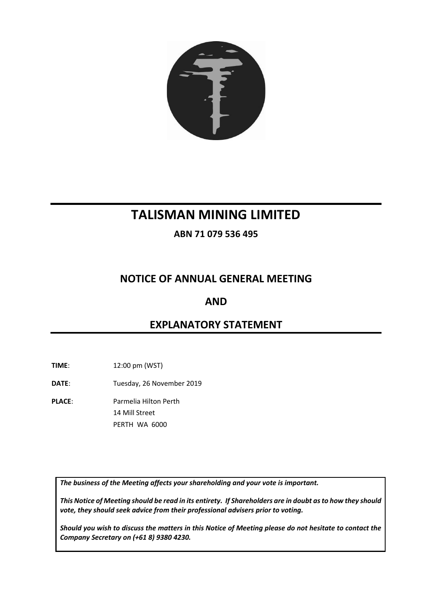

# **TALISMAN MINING LIMITED**

**ABN 71 079 536 495**

# **NOTICE OF ANNUAL GENERAL MEETING**

# **AND**

# **EXPLANATORY STATEMENT**

**TIME**: 12:00 pm (WST)

- **DATE**: Tuesday, 26 November 2019
- **PLACE**: Parmelia Hilton Perth 14 Mill Street PERTH WA 6000

*The business of the Meeting affects your shareholding and your vote is important.*

*This Notice of Meeting should be read in its entirety. If Shareholders are in doubt as to how they should vote, they should seek advice from their professional advisers prior to voting.*

*Should you wish to discuss the matters in this Notice of Meeting please do not hesitate to contact the Company Secretary on (+61 8) 9380 4230.*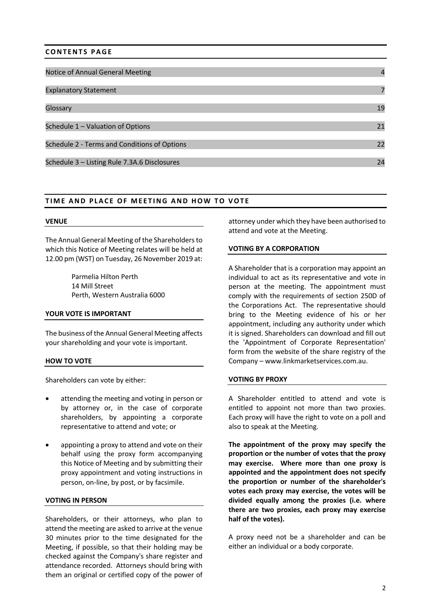# **CONTENTS PAGE**

| Notice of Annual General Meeting             | $\overline{4}$ |
|----------------------------------------------|----------------|
|                                              |                |
| <b>Explanatory Statement</b>                 |                |
|                                              |                |
| Glossary                                     | 19             |
|                                              |                |
| Schedule 1 - Valuation of Options            | 21             |
|                                              |                |
| Schedule 2 - Terms and Conditions of Options | 22             |
|                                              |                |
| Schedule 3 - Listing Rule 7.3A.6 Disclosures | 24             |

### **TIME AND PLACE OF MEETING AND HOW TO VOTE**

#### **VENUE**

The Annual General Meeting of the Shareholders to which this Notice of Meeting relates will be held at 12.00 pm (WST) on Tuesday, 26 November 2019 at:

> Parmelia Hilton Perth 14 Mill Street Perth, Western Australia 6000

#### **YOUR VOTE IS IMPORTANT**

The business of the Annual General Meeting affects your shareholding and your vote is important.

#### **HOW TO VOTE**

Shareholders can vote by either:

- attending the meeting and voting in person or by attorney or, in the case of corporate shareholders, by appointing a corporate representative to attend and vote; or
- appointing a proxy to attend and vote on their behalf using the proxy form accompanying this Notice of Meeting and by submitting their proxy appointment and voting instructions in person, on-line, by post, or by facsimile.

#### **VOTING IN PERSON**

Shareholders, or their attorneys, who plan to attend the meeting are asked to arrive at the venue 30 minutes prior to the time designated for the Meeting, if possible, so that their holding may be checked against the Company's share register and attendance recorded. Attorneys should bring with them an original or certified copy of the power of

attorney under which they have been authorised to attend and vote at the Meeting.

#### **VOTING BY A CORPORATION**

A Shareholder that is a corporation may appoint an individual to act as its representative and vote in person at the meeting. The appointment must comply with the requirements of section 250D of the Corporations Act. The representative should bring to the Meeting evidence of his or her appointment, including any authority under which it is signed. Shareholders can download and fill out the 'Appointment of Corporate Representation' form from the website of the share registry of the Company – www.linkmarketservices.com.au.

#### **VOTING BY PROXY**

A Shareholder entitled to attend and vote is entitled to appoint not more than two proxies. Each proxy will have the right to vote on a poll and also to speak at the Meeting.

**The appointment of the proxy may specify the proportion or the number of votes that the proxy may exercise. Where more than one proxy is appointed and the appointment does not specify the proportion or number of the shareholder's votes each proxy may exercise, the votes will be divided equally among the proxies (i.e. where there are two proxies, each proxy may exercise half of the votes).**

A proxy need not be a shareholder and can be either an individual or a body corporate.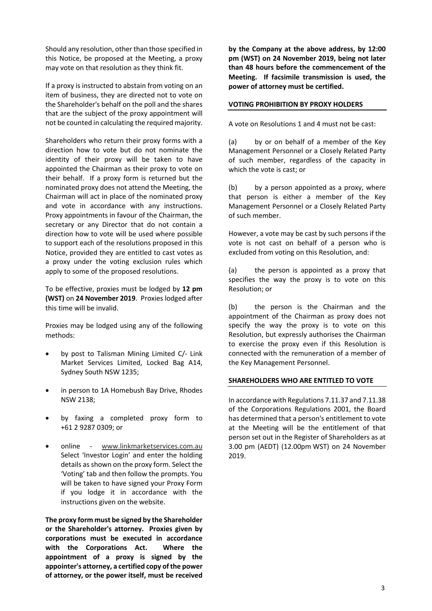Should any resolution, other than those specified in this Notice, be proposed at the Meeting, a proxy may vote on that resolution as they think fit.

If a proxy is instructed to abstain from voting on an item of business, they are directed not to vote on the Shareholder's behalf on the poll and the shares that are the subject of the proxy appointment will not be counted in calculating the required majority.

Shareholders who return their proxy forms with a direction how to vote but do not nominate the identity of their proxy will be taken to have appointed the Chairman as their proxy to vote on their behalf. If a proxy form is returned but the nominated proxy does not attend the Meeting, the Chairman will act in place of the nominated proxy and vote in accordance with any instructions. Proxy appointments in favour of the Chairman, the secretary or any Director that do not contain a direction how to vote will be used where possible to support each of the resolutions proposed in this Notice, provided they are entitled to cast votes as a proxy under the voting exclusion rules which apply to some of the proposed resolutions.

To be effective, proxies must be lodged by **12 pm (WST)** on **24 November 2019**. Proxies lodged after this time will be invalid.

Proxies may be lodged using any of the following methods:

- by post to Talisman Mining Limited C/- Link Market Services Limited, Locked Bag A14, Sydney South NSW 1235;
- in person to 1A Homebush Bay Drive, Rhodes NSW 2138;
- by faxing a completed proxy form to +61 2 9287 0309; or
- online www.linkmarketservices.com.au Select 'Investor Login' and enter the holding details as shown on the proxy form. Select the 'Voting' tab and then follow the prompts. You will be taken to have signed your Proxy Form if you lodge it in accordance with the instructions given on the website.

**The proxy form must be signed by the Shareholder or the Shareholder's attorney. Proxies given by corporations must be executed in accordance with the Corporations Act. Where the appointment of a proxy is signed by the appointer's attorney, a certified copy of the power of attorney, or the power itself, must be received** 

**by the Company at the above address, by 12:00 pm (WST) on 24 November 2019, being not later than 48 hours before the commencement of the Meeting. If facsimile transmission is used, the power of attorney must be certified.**

## **VOTING PROHIBITION BY PROXY HOLDERS**

A vote on Resolutions 1 and 4 must not be cast:

(a) by or on behalf of a member of the Key Management Personnel or a Closely Related Party of such member, regardless of the capacity in which the vote is cast; or

(b) by a person appointed as a proxy, where that person is either a member of the Key Management Personnel or a Closely Related Party of such member.

However, a vote may be cast by such persons if the vote is not cast on behalf of a person who is excluded from voting on this Resolution, and:

(a) the person is appointed as a proxy that specifies the way the proxy is to vote on this Resolution; or

(b) the person is the Chairman and the appointment of the Chairman as proxy does not specify the way the proxy is to vote on this Resolution, but expressly authorises the Chairman to exercise the proxy even if this Resolution is connected with the remuneration of a member of the Key Management Personnel.

#### **SHAREHOLDERS WHO ARE ENTITLED TO VOTE**

In accordance with Regulations 7.11.37 and 7.11.38 of the Corporations Regulations 2001, the Board has determined that a person's entitlement to vote at the Meeting will be the entitlement of that person set out in the Register of Shareholders as at 3.00 pm (AEDT) (12.00pm WST) on 24 November 2019.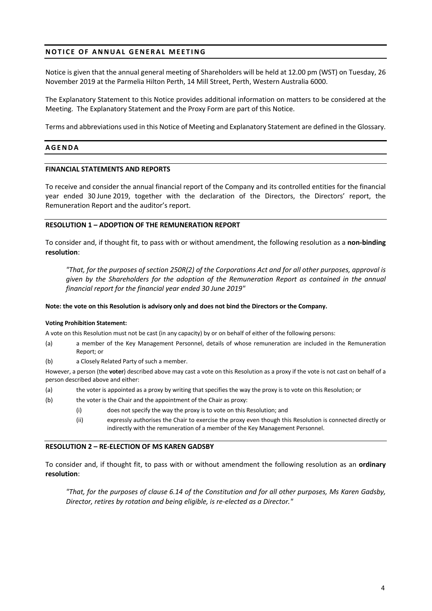# **NOTICE OF ANNUAL GENERAL MEETING**

Notice is given that the annual general meeting of Shareholders will be held at 12.00 pm (WST) on Tuesday, 26 November 2019 at the Parmelia Hilton Perth, 14 Mill Street, Perth, Western Australia 6000.

The Explanatory Statement to this Notice provides additional information on matters to be considered at the Meeting. The Explanatory Statement and the Proxy Form are part of this Notice.

Terms and abbreviations used in this Notice of Meeting and Explanatory Statement are defined in the Glossary.

## **AGENDA**

#### **FINANCIAL STATEMENTS AND REPORTS**

To receive and consider the annual financial report of the Company and its controlled entities for the financial year ended 30 June 2019, together with the declaration of the Directors, the Directors' report, the Remuneration Report and the auditor's report.

#### **RESOLUTION 1 – ADOPTION OF THE REMUNERATION REPORT**

To consider and, if thought fit, to pass with or without amendment, the following resolution as a **non-binding resolution**:

*"That, for the purposes of section 250R(2) of the Corporations Act and for all other purposes, approval is given by the Shareholders for the adoption of the Remuneration Report as contained in the annual financial report for the financial year ended 30 June 2019"*

#### **Note: the vote on this Resolution is advisory only and does not bind the Directors or the Company.**

#### **Voting Prohibition Statement:**

A vote on this Resolution must not be cast (in any capacity) by or on behalf of either of the following persons:

- (a) a member of the Key Management Personnel, details of whose remuneration are included in the Remuneration Report; or
- (b) a Closely Related Party of such a member.

However, a person (the **voter**) described above may cast a vote on this Resolution as a proxy if the vote is not cast on behalf of a person described above and either:

- (a) the voter is appointed as a proxy by writing that specifies the way the proxy is to vote on this Resolution; or
- (b) the voter is the Chair and the appointment of the Chair as proxy:
	- (i) does not specify the way the proxy is to vote on this Resolution; and
	- (ii) expressly authorises the Chair to exercise the proxy even though this Resolution is connected directly or indirectly with the remuneration of a member of the Key Management Personnel.

#### **RESOLUTION 2 – RE-ELECTION OF MS KAREN GADSBY**

To consider and, if thought fit, to pass with or without amendment the following resolution as an **ordinary resolution**:

*"That, for the purposes of clause 6.14 of the Constitution and for all other purposes, Ms Karen Gadsby, Director, retires by rotation and being eligible, is re-elected as a Director."*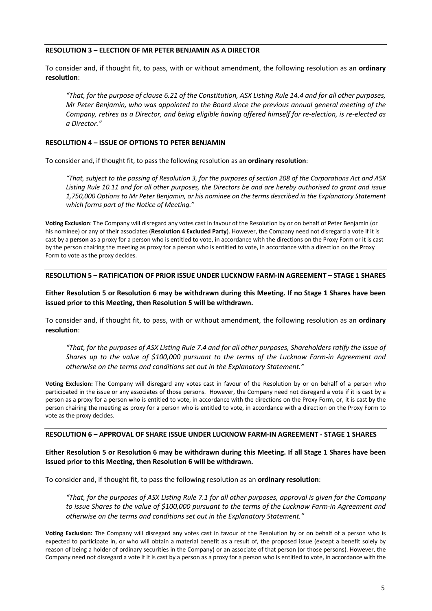#### **RESOLUTION 3 – ELECTION OF MR PETER BENJAMIN AS A DIRECTOR**

To consider and, if thought fit, to pass, with or without amendment, the following resolution as an **ordinary resolution**:

*"That, for the purpose of clause 6.21 of the Constitution, ASX Listing Rule 14.4 and for all other purposes, Mr Peter Benjamin, who was appointed to the Board since the previous annual general meeting of the Company, retires as a Director, and being eligible having offered himself for re-election, is re-elected as a Director."*

#### **RESOLUTION 4 – ISSUE OF OPTIONS TO PETER BENJAMIN**

To consider and, if thought fit, to pass the following resolution as an **ordinary resolution**:

*"That, subject to the passing of Resolution 3, for the purposes of section 208 of the Corporations Act and ASX Listing Rule 10.11 and for all other purposes, the Directors be and are hereby authorised to grant and issue 1,750,000 Options to Mr Peter Benjamin, or his nominee on the terms described in the Explanatory Statement which forms part of the Notice of Meeting."* 

**Voting Exclusion**: The Company will disregard any votes cast in favour of the Resolution by or on behalf of Peter Benjamin (or his nominee) or any of their associates (**Resolution 4 Excluded Party**). However, the Company need not disregard a vote if it is cast by a **person** as a proxy for a person who is entitled to vote, in accordance with the directions on the Proxy Form or it is cast by the person chairing the meeting as proxy for a person who is entitled to vote, in accordance with a direction on the Proxy Form to vote as the proxy decides.

#### **RESOLUTION 5 – RATIFICATION OF PRIOR ISSUE UNDER LUCKNOW FARM-IN AGREEMENT – STAGE 1 SHARES**

**Either Resolution 5 or Resolution 6 may be withdrawn during this Meeting. If no Stage 1 Shares have been issued prior to this Meeting, then Resolution 5 will be withdrawn.**

To consider and, if thought fit, to pass, with or without amendment, the following resolution as an **ordinary resolution**:

*"That, for the purposes of ASX Listing Rule 7.4 and for all other purposes, Shareholders ratify the issue of Shares up to the value of \$100,000 pursuant to the terms of the Lucknow Farm-in Agreement and otherwise on the terms and conditions set out in the Explanatory Statement."*

**Voting Exclusion:** The Company will disregard any votes cast in favour of the Resolution by or on behalf of a person who participated in the issue or any associates of those persons. However, the Company need not disregard a vote if it is cast by a person as a proxy for a person who is entitled to vote, in accordance with the directions on the Proxy Form, or, it is cast by the person chairing the meeting as proxy for a person who is entitled to vote, in accordance with a direction on the Proxy Form to vote as the proxy decides.

#### **RESOLUTION 6 – APPROVAL OF SHARE ISSUE UNDER LUCKNOW FARM-IN AGREEMENT - STAGE 1 SHARES**

### **Either Resolution 5 or Resolution 6 may be withdrawn during this Meeting. If all Stage 1 Shares have been issued prior to this Meeting, then Resolution 6 will be withdrawn.**

To consider and, if thought fit, to pass the following resolution as an **ordinary resolution**:

*"That, for the purposes of ASX Listing Rule 7.1 for all other purposes, approval is given for the Company to issue Shares to the value of \$100,000 pursuant to the terms of the Lucknow Farm-in Agreement and otherwise on the terms and conditions set out in the Explanatory Statement."*

**Voting Exclusion:** The Company will disregard any votes cast in favour of the Resolution by or on behalf of a person who is expected to participate in, or who will obtain a material benefit as a result of, the proposed issue (except a benefit solely by reason of being a holder of ordinary securities in the Company) or an associate of that person (or those persons). However, the Company need not disregard a vote if it is cast by a person as a proxy for a person who is entitled to vote, in accordance with the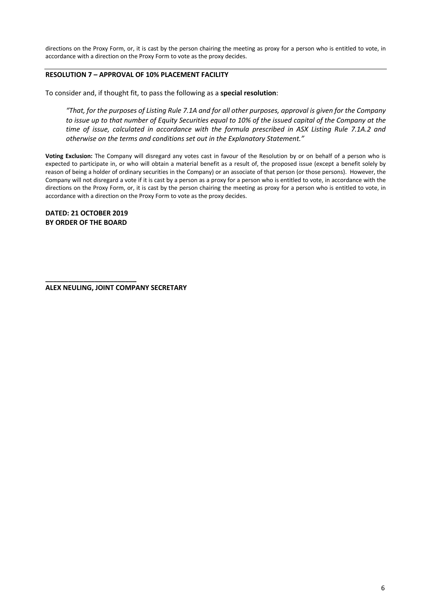directions on the Proxy Form, or, it is cast by the person chairing the meeting as proxy for a person who is entitled to vote, in accordance with a direction on the Proxy Form to vote as the proxy decides.

# **RESOLUTION 7 – APPROVAL OF 10% PLACEMENT FACILITY**

To consider and, if thought fit, to pass the following as a **special resolution**:

*"That, for the purposes of Listing Rule 7.1A and for all other purposes, approval is given for the Company to issue up to that number of Equity Securities equal to 10% of the issued capital of the Company at the time of issue, calculated in accordance with the formula prescribed in ASX Listing Rule 7.1A.2 and otherwise on the terms and conditions set out in the Explanatory Statement."*

**Voting Exclusion:** The Company will disregard any votes cast in favour of the Resolution by or on behalf of a person who is expected to participate in, or who will obtain a material benefit as a result of, the proposed issue (except a benefit solely by reason of being a holder of ordinary securities in the Company) or an associate of that person (or those persons). However, the Company will not disregard a vote if it is cast by a person as a proxy for a person who is entitled to vote, in accordance with the directions on the Proxy Form, or, it is cast by the person chairing the meeting as proxy for a person who is entitled to vote, in accordance with a direction on the Proxy Form to vote as the proxy decides.

**DATED: 21 OCTOBER 2019 BY ORDER OF THE BOARD**

**\_\_\_\_\_\_\_\_\_\_\_\_\_\_\_\_\_\_\_\_\_\_\_\_**

**ALEX NEULING, JOINT COMPANY SECRETARY**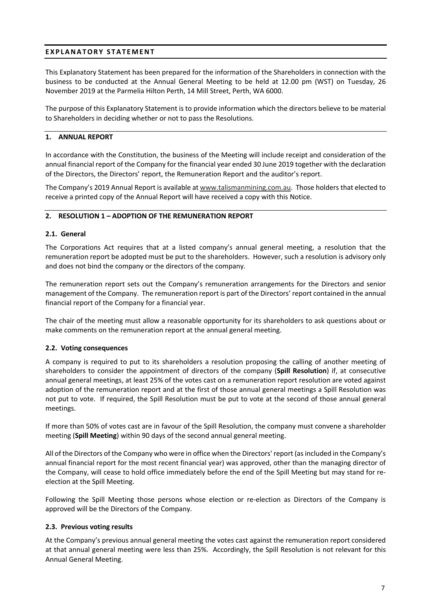# **EXPLANATORY STATEMENT**

This Explanatory Statement has been prepared for the information of the Shareholders in connection with the business to be conducted at the Annual General Meeting to be held at 12.00 pm (WST) on Tuesday, 26 November 2019 at the Parmelia Hilton Perth, 14 Mill Street, Perth, WA 6000.

The purpose of this Explanatory Statement is to provide information which the directors believe to be material to Shareholders in deciding whether or not to pass the Resolutions.

## **1. ANNUAL REPORT**

In accordance with the Constitution, the business of the Meeting will include receipt and consideration of the annual financial report of the Company for the financial year ended 30 June 2019 together with the declaration of the Directors, the Directors' report, the Remuneration Report and the auditor's report.

The Company's 2019 Annual Report is available at www.talismanmining.com.au. Those holders that elected to receive a printed copy of the Annual Report will have received a copy with this Notice.

### **2. RESOLUTION 1 – ADOPTION OF THE REMUNERATION REPORT**

### **2.1. General**

The Corporations Act requires that at a listed company's annual general meeting, a resolution that the remuneration report be adopted must be put to the shareholders. However, such a resolution is advisory only and does not bind the company or the directors of the company.

The remuneration report sets out the Company's remuneration arrangements for the Directors and senior management of the Company. The remuneration report is part of the Directors' report contained in the annual financial report of the Company for a financial year.

The chair of the meeting must allow a reasonable opportunity for its shareholders to ask questions about or make comments on the remuneration report at the annual general meeting.

# **2.2. Voting consequences**

A company is required to put to its shareholders a resolution proposing the calling of another meeting of shareholders to consider the appointment of directors of the company (**Spill Resolution**) if, at consecutive annual general meetings, at least 25% of the votes cast on a remuneration report resolution are voted against adoption of the remuneration report and at the first of those annual general meetings a Spill Resolution was not put to vote. If required, the Spill Resolution must be put to vote at the second of those annual general meetings.

If more than 50% of votes cast are in favour of the Spill Resolution, the company must convene a shareholder meeting (**Spill Meeting**) within 90 days of the second annual general meeting.

All of the Directors of the Company who were in office when the Directors' report (as included in the Company's annual financial report for the most recent financial year) was approved, other than the managing director of the Company, will cease to hold office immediately before the end of the Spill Meeting but may stand for reelection at the Spill Meeting.

Following the Spill Meeting those persons whose election or re-election as Directors of the Company is approved will be the Directors of the Company.

# **2.3. Previous voting results**

At the Company's previous annual general meeting the votes cast against the remuneration report considered at that annual general meeting were less than 25%. Accordingly, the Spill Resolution is not relevant for this Annual General Meeting.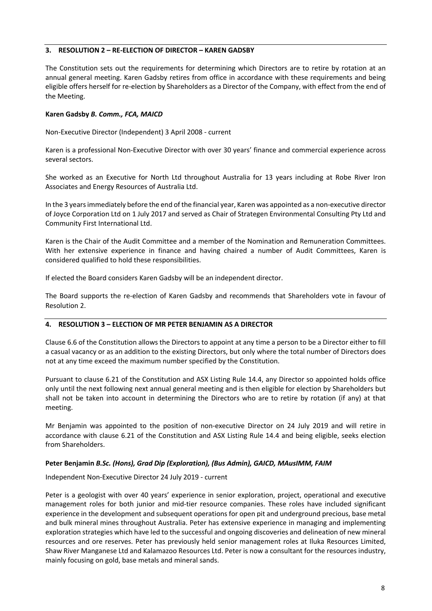# **3. RESOLUTION 2 – RE-ELECTION OF DIRECTOR – KAREN GADSBY**

The Constitution sets out the requirements for determining which Directors are to retire by rotation at an annual general meeting. Karen Gadsby retires from office in accordance with these requirements and being eligible offers herself for re-election by Shareholders as a Director of the Company, with effect from the end of the Meeting.

# **Karen Gadsby** *B. Comm., FCA, MAICD*

Non-Executive Director (Independent) 3 April 2008 - current

Karen is a professional Non-Executive Director with over 30 years' finance and commercial experience across several sectors.

She worked as an Executive for North Ltd throughout Australia for 13 years including at Robe River Iron Associates and Energy Resources of Australia Ltd.

In the 3 years immediately before the end of the financial year, Karen was appointed as a non-executive director of Joyce Corporation Ltd on 1 July 2017 and served as Chair of Strategen Environmental Consulting Pty Ltd and Community First International Ltd.

Karen is the Chair of the Audit Committee and a member of the Nomination and Remuneration Committees. With her extensive experience in finance and having chaired a number of Audit Committees, Karen is considered qualified to hold these responsibilities.

If elected the Board considers Karen Gadsby will be an independent director.

The Board supports the re-election of Karen Gadsby and recommends that Shareholders vote in favour of Resolution 2.

# **4. RESOLUTION 3 – ELECTION OF MR PETER BENJAMIN AS A DIRECTOR**

Clause 6.6 of the Constitution allows the Directors to appoint at any time a person to be a Director either to fill a casual vacancy or as an addition to the existing Directors, but only where the total number of Directors does not at any time exceed the maximum number specified by the Constitution.

Pursuant to clause 6.21 of the Constitution and ASX Listing Rule 14.4, any Director so appointed holds office only until the next following next annual general meeting and is then eligible for election by Shareholders but shall not be taken into account in determining the Directors who are to retire by rotation (if any) at that meeting.

Mr Benjamin was appointed to the position of non-executive Director on 24 July 2019 and will retire in accordance with clause 6.21 of the Constitution and ASX Listing Rule 14.4 and being eligible, seeks election from Shareholders.

# **Peter Benjamin** *B.Sc. (Hons), Grad Dip (Exploration), (Bus Admin), GAICD, MAusIMM, FAIM*

Independent Non-Executive Director 24 July 2019 - current

Peter is a geologist with over 40 years' experience in senior exploration, project, operational and executive management roles for both junior and mid-tier resource companies. These roles have included significant experience in the development and subsequent operations for open pit and underground precious, base metal and bulk mineral mines throughout Australia. Peter has extensive experience in managing and implementing exploration strategies which have led to the successful and ongoing discoveries and delineation of new mineral resources and ore reserves. Peter has previously held senior management roles at Iluka Resources Limited, Shaw River Manganese Ltd and Kalamazoo Resources Ltd. Peter is now a consultant for the resources industry, mainly focusing on gold, base metals and mineral sands.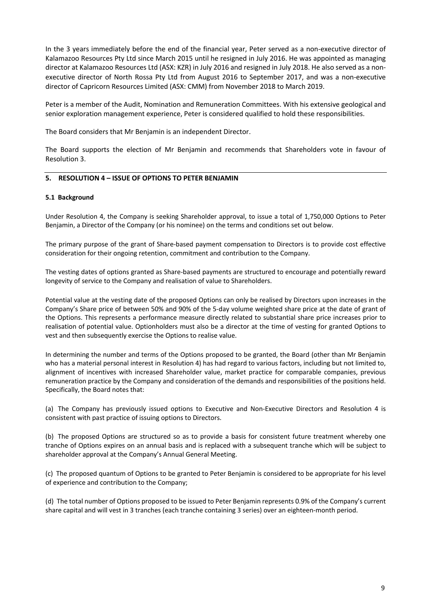In the 3 years immediately before the end of the financial year, Peter served as a non-executive director of Kalamazoo Resources Pty Ltd since March 2015 until he resigned in July 2016. He was appointed as managing director at Kalamazoo Resources Ltd (ASX: KZR) in July 2016 and resigned in July 2018. He also served as a nonexecutive director of North Rossa Pty Ltd from August 2016 to September 2017, and was a non-executive director of Capricorn Resources Limited (ASX: CMM) from November 2018 to March 2019.

Peter is a member of the Audit, Nomination and Remuneration Committees. With his extensive geological and senior exploration management experience, Peter is considered qualified to hold these responsibilities.

The Board considers that Mr Benjamin is an independent Director.

The Board supports the election of Mr Benjamin and recommends that Shareholders vote in favour of Resolution 3.

# **5. RESOLUTION 4 – ISSUE OF OPTIONS TO PETER BENJAMIN**

#### **5.1 Background**

Under Resolution 4, the Company is seeking Shareholder approval, to issue a total of 1,750,000 Options to Peter Benjamin, a Director of the Company (or his nominee) on the terms and conditions set out below.

The primary purpose of the grant of Share-based payment compensation to Directors is to provide cost effective consideration for their ongoing retention, commitment and contribution to the Company.

The vesting dates of options granted as Share-based payments are structured to encourage and potentially reward longevity of service to the Company and realisation of value to Shareholders.

Potential value at the vesting date of the proposed Options can only be realised by Directors upon increases in the Company's Share price of between 50% and 90% of the 5-day volume weighted share price at the date of grant of the Options. This represents a performance measure directly related to substantial share price increases prior to realisation of potential value. Optionholders must also be a director at the time of vesting for granted Options to vest and then subsequently exercise the Options to realise value.

In determining the number and terms of the Options proposed to be granted, the Board (other than Mr Benjamin who has a material personal interest in Resolution 4) has had regard to various factors, including but not limited to, alignment of incentives with increased Shareholder value, market practice for comparable companies, previous remuneration practice by the Company and consideration of the demands and responsibilities of the positions held. Specifically, the Board notes that:

(a) The Company has previously issued options to Executive and Non-Executive Directors and Resolution 4 is consistent with past practice of issuing options to Directors.

(b) The proposed Options are structured so as to provide a basis for consistent future treatment whereby one tranche of Options expires on an annual basis and is replaced with a subsequent tranche which will be subject to shareholder approval at the Company's Annual General Meeting.

(c) The proposed quantum of Options to be granted to Peter Benjamin is considered to be appropriate for his level of experience and contribution to the Company;

(d) The total number of Options proposed to be issued to Peter Benjamin represents 0.9% of the Company's current share capital and will vest in 3 tranches (each tranche containing 3 series) over an eighteen-month period.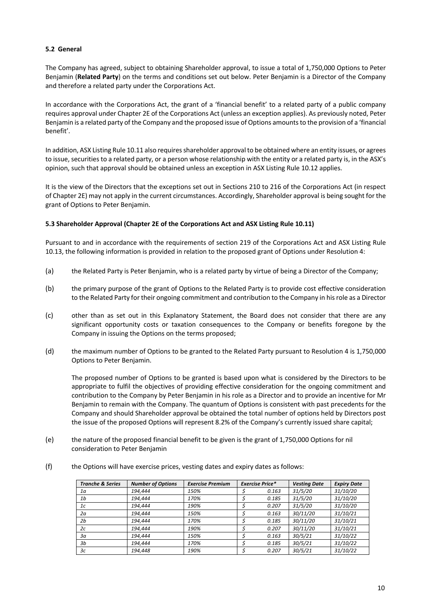### **5.2 General**

The Company has agreed, subject to obtaining Shareholder approval, to issue a total of 1,750,000 Options to Peter Benjamin (**Related Party**) on the terms and conditions set out below. Peter Benjamin is a Director of the Company and therefore a related party under the Corporations Act.

In accordance with the Corporations Act, the grant of a 'financial benefit' to a related party of a public company requires approval under Chapter 2E of the Corporations Act (unless an exception applies). As previously noted, Peter Benjamin is a related party of the Company and the proposed issue of Options amounts to the provision of a 'financial benefit'.

In addition, ASX Listing Rule 10.11 also requires shareholder approval to be obtained where an entity issues, or agrees to issue, securities to a related party, or a person whose relationship with the entity or a related party is, in the ASX's opinion, such that approval should be obtained unless an exception in ASX Listing Rule 10.12 applies.

It is the view of the Directors that the exceptions set out in Sections 210 to 216 of the Corporations Act (in respect of Chapter 2E) may not apply in the current circumstances. Accordingly, Shareholder approval is being sought for the grant of Options to Peter Benjamin.

#### **5.3 Shareholder Approval (Chapter 2E of the Corporations Act and ASX Listing Rule 10.11)**

Pursuant to and in accordance with the requirements of section 219 of the Corporations Act and ASX Listing Rule 10.13, the following information is provided in relation to the proposed grant of Options under Resolution 4:

- (a) the Related Party is Peter Benjamin, who is a related party by virtue of being a Director of the Company;
- (b) the primary purpose of the grant of Options to the Related Party is to provide cost effective consideration to the Related Party for their ongoing commitment and contribution to the Company in hisrole as a Director
- (c) other than as set out in this Explanatory Statement, the Board does not consider that there are any significant opportunity costs or taxation consequences to the Company or benefits foregone by the Company in issuing the Options on the terms proposed;
- (d) the maximum number of Options to be granted to the Related Party pursuant to Resolution 4 is 1,750,000 Options to Peter Benjamin.

The proposed number of Options to be granted is based upon what is considered by the Directors to be appropriate to fulfil the objectives of providing effective consideration for the ongoing commitment and contribution to the Company by Peter Benjamin in his role as a Director and to provide an incentive for Mr Benjamin to remain with the Company. The quantum of Options is consistent with past precedents for the Company and should Shareholder approval be obtained the total number of options held by Directors post the issue of the proposed Options will represent 8.2% of the Company's currently issued share capital;

- (e) the nature of the proposed financial benefit to be given is the grant of 1,750,000 Options for nil consideration to Peter Benjamin
- (f) the Options will have exercise prices, vesting dates and expiry dates as follows:

| <b>Tranche &amp; Series</b> | <b>Number of Options</b> | <b>Exercise Premium</b> | <b>Exercise Price*</b> | <b>Vesting Date</b> | <b>Expiry Date</b> |
|-----------------------------|--------------------------|-------------------------|------------------------|---------------------|--------------------|
| 1a                          | 194.444                  | 150%                    | 0.163                  | 31/5/20             | 31/10/20           |
| 1 <sub>b</sub>              | 194.444                  | 170%                    | 0.185                  | 31/5/20             | 31/10/20           |
| 1c                          | 194.444                  | 190%                    | 0.207                  | 31/5/20             | 31/10/20           |
| 2a                          | 194.444                  | 150%                    | 0.163                  | 30/11/20            | 31/10/21           |
| 2 <sub>b</sub>              | 194.444                  | 170%                    | 0.185                  | 30/11/20            | 31/10/21           |
| 2c                          | 194.444                  | 190%                    | 0.207                  | 30/11/20            | 31/10/21           |
| За                          | 194.444                  | 150%                    | 0.163                  | 30/5/21             | 31/10/22           |
| 3b                          | 194.444                  | 170%                    | 0.185                  | 30/5/21             | 31/10/22           |
| Зc                          | 194.448                  | 190%                    | 0.207                  | 30/5/21             | 31/10/22           |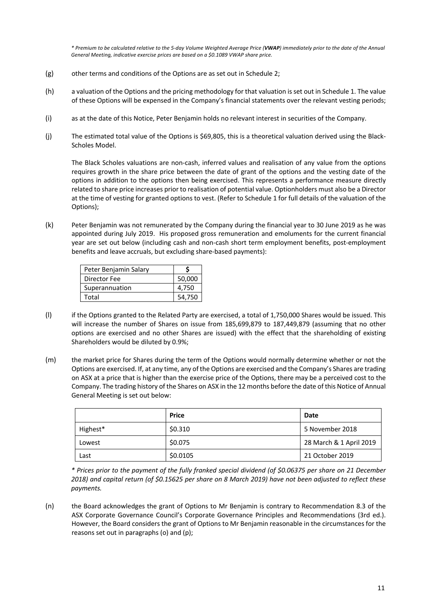*\* Premium to be calculated relative to the 5-day Volume Weighted Average Price (VWAP) immediately prior to the date of the Annual General Meeting, indicative exercise prices are based on a \$0.1089 VWAP share price.*

- (g) other terms and conditions of the Options are as set out in Schedule 2;
- (h) a valuation of the Options and the pricing methodology for that valuation is set out in Schedule 1. The value of these Options will be expensed in the Company's financial statements over the relevant vesting periods;
- (i) as at the date of this Notice, Peter Benjamin holds no relevant interest in securities of the Company.
- (j) The estimated total value of the Options is \$69,805, this is a theoretical valuation derived using the Black-Scholes Model.

The Black Scholes valuations are non-cash, inferred values and realisation of any value from the options requires growth in the share price between the date of grant of the options and the vesting date of the options in addition to the options then being exercised. This represents a performance measure directly related to share price increases prior to realisation of potential value. Optionholders must also be a Director at the time of vesting for granted options to vest. (Refer to Schedule 1 for full details of the valuation of the Options);

(k) Peter Benjamin was not remunerated by the Company during the financial year to 30 June 2019 as he was appointed during July 2019. His proposed gross remuneration and emoluments for the current financial year are set out below (including cash and non-cash short term employment benefits, post-employment benefits and leave accruals, but excluding share-based payments):

| Peter Benjamin Salary |        |
|-----------------------|--------|
| Director Fee          | 50,000 |
| Superannuation        | 4.750  |
| Total                 | 54.750 |

- (l) if the Options granted to the Related Party are exercised, a total of 1,750,000 Shares would be issued. This will increase the number of Shares on issue from 185,699,879 to 187,449,879 (assuming that no other options are exercised and no other Shares are issued) with the effect that the shareholding of existing Shareholders would be diluted by 0.9%;
- (m) the market price for Shares during the term of the Options would normally determine whether or not the Options are exercised. If, at any time, any of the Options are exercised and the Company's Shares are trading on ASX at a price that is higher than the exercise price of the Options, there may be a perceived cost to the Company. The trading history of the Shares on ASX in the 12 months before the date of this Notice of Annual General Meeting is set out below:

|          | <b>Price</b> | Date                    |
|----------|--------------|-------------------------|
| Highest* | \$0.310      | 5 November 2018         |
| Lowest   | \$0.075      | 28 March & 1 April 2019 |
| Last     | \$0.0105     | 21 October 2019         |

*\* Prices prior to the payment of the fully franked special dividend (of \$0.06375 per share on 21 December 2018) and capital return (of \$0.15625 per share on 8 March 2019) have not been adjusted to reflect these payments.*

(n) the Board acknowledges the grant of Options to Mr Benjamin is contrary to Recommendation 8.3 of the ASX Corporate Governance Council's Corporate Governance Principles and Recommendations (3rd ed.). However, the Board considers the grant of Options to Mr Benjamin reasonable in the circumstances for the reasons set out in paragraphs (o) and (p);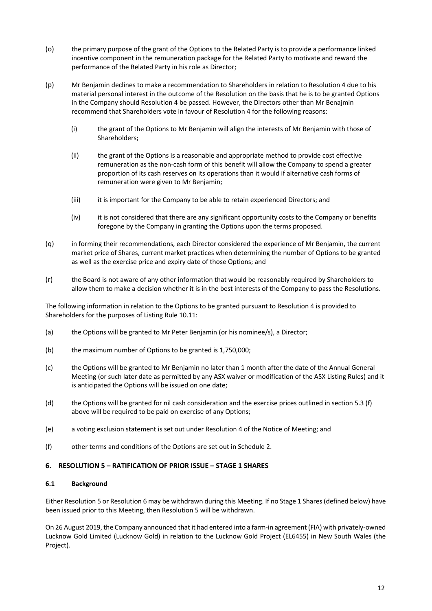- (o) the primary purpose of the grant of the Options to the Related Party is to provide a performance linked incentive component in the remuneration package for the Related Party to motivate and reward the performance of the Related Party in his role as Director;
- (p) Mr Benjamin declines to make a recommendation to Shareholders in relation to Resolution 4 due to his material personal interest in the outcome of the Resolution on the basis that he is to be granted Options in the Company should Resolution 4 be passed. However, the Directors other than Mr Benajmin recommend that Shareholders vote in favour of Resolution 4 for the following reasons:
	- (i) the grant of the Options to Mr Benjamin will align the interests of Mr Benjamin with those of Shareholders;
	- (ii) the grant of the Options is a reasonable and appropriate method to provide cost effective remuneration as the non-cash form of this benefit will allow the Company to spend a greater proportion of its cash reserves on its operations than it would if alternative cash forms of remuneration were given to Mr Benjamin;
	- (iii) it is important for the Company to be able to retain experienced Directors; and
	- (iv) it is not considered that there are any significant opportunity costs to the Company or benefits foregone by the Company in granting the Options upon the terms proposed.
- (q) in forming their recommendations, each Director considered the experience of Mr Benjamin, the current market price of Shares, current market practices when determining the number of Options to be granted as well as the exercise price and expiry date of those Options; and
- (r) the Board is not aware of any other information that would be reasonably required by Shareholders to allow them to make a decision whether it is in the best interests of the Company to pass the Resolutions.

The following information in relation to the Options to be granted pursuant to Resolution 4 is provided to Shareholders for the purposes of Listing Rule 10.11:

- (a) the Options will be granted to Mr Peter Benjamin (or his nominee/s), a Director;
- (b) the maximum number of Options to be granted is 1,750,000;
- (c) the Options will be granted to Mr Benjamin no later than 1 month after the date of the Annual General Meeting (or such later date as permitted by any ASX waiver or modification of the ASX Listing Rules) and it is anticipated the Options will be issued on one date;
- (d) the Options will be granted for nil cash consideration and the exercise prices outlined in section 5.3 (f) above will be required to be paid on exercise of any Options:
- (e) a voting exclusion statement is set out under Resolution 4 of the Notice of Meeting; and
- (f) other terms and conditions of the Options are set out in Schedule 2.

# **6. RESOLUTION 5 – RATIFICATION OF PRIOR ISSUE – STAGE 1 SHARES**

#### **6.1 Background**

Either Resolution 5 or Resolution 6 may be withdrawn during this Meeting. If no Stage 1 Shares (defined below) have been issued prior to this Meeting, then Resolution 5 will be withdrawn.

On 26 August 2019, the Company announced that it had entered into a farm-in agreement (FIA) with privately-owned Lucknow Gold Limited (Lucknow Gold) in relation to the Lucknow Gold Project (EL6455) in New South Wales (the Project).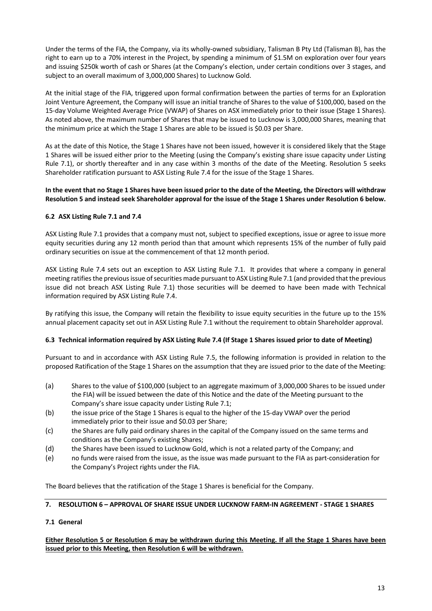Under the terms of the FIA, the Company, via its wholly-owned subsidiary, Talisman B Pty Ltd (Talisman B), has the right to earn up to a 70% interest in the Project, by spending a minimum of \$1.5M on exploration over four years and issuing \$250k worth of cash or Shares (at the Company's election, under certain conditions over 3 stages, and subject to an overall maximum of 3,000,000 Shares) to Lucknow Gold.

At the initial stage of the FIA, triggered upon formal confirmation between the parties of terms for an Exploration Joint Venture Agreement, the Company will issue an initial tranche of Shares to the value of \$100,000, based on the 15-day Volume Weighted Average Price (VWAP) of Shares on ASX immediately prior to their issue (Stage 1 Shares). As noted above, the maximum number of Shares that may be issued to Lucknow is 3,000,000 Shares, meaning that the minimum price at which the Stage 1 Shares are able to be issued is \$0.03 per Share.

As at the date of this Notice, the Stage 1 Shares have not been issued, however it is considered likely that the Stage 1 Shares will be issued either prior to the Meeting (using the Company's existing share issue capacity under Listing Rule 7.1), or shortly thereafter and in any case within 3 months of the date of the Meeting. Resolution 5 seeks Shareholder ratification pursuant to ASX Listing Rule 7.4 for the issue of the Stage 1 Shares.

### **In the event that no Stage 1 Shares have been issued prior to the date of the Meeting, the Directors will withdraw Resolution 5 and instead seek Shareholder approval for the issue of the Stage 1 Shares under Resolution 6 below.**

# **6.2 ASX Listing Rule 7.1 and 7.4**

ASX Listing Rule 7.1 provides that a company must not, subject to specified exceptions, issue or agree to issue more equity securities during any 12 month period than that amount which represents 15% of the number of fully paid ordinary securities on issue at the commencement of that 12 month period.

ASX Listing Rule 7.4 sets out an exception to ASX Listing Rule 7.1. It provides that where a company in general meeting ratifies the previous issue of securities made pursuant to ASX Listing Rule 7.1 (and provided that the previous issue did not breach ASX Listing Rule 7.1) those securities will be deemed to have been made with Technical information required by ASX Listing Rule 7.4.

By ratifying this issue, the Company will retain the flexibility to issue equity securities in the future up to the 15% annual placement capacity set out in ASX Listing Rule 7.1 without the requirement to obtain Shareholder approval.

# **6.3 Technical information required by ASX Listing Rule 7.4 (If Stage 1 Shares issued prior to date of Meeting)**

Pursuant to and in accordance with ASX Listing Rule 7.5, the following information is provided in relation to the proposed Ratification of the Stage 1 Shares on the assumption that they are issued prior to the date of the Meeting:

- (a) Shares to the value of \$100,000 (subject to an aggregate maximum of 3,000,000 Shares to be issued under the FIA) will be issued between the date of this Notice and the date of the Meeting pursuant to the Company's share issue capacity under Listing Rule 7.1;
- (b) the issue price of the Stage 1 Shares is equal to the higher of the 15-day VWAP over the period immediately prior to their issue and \$0.03 per Share;
- (c) the Shares are fully paid ordinary shares in the capital of the Company issued on the same terms and conditions as the Company's existing Shares;
- (d) the Shares have been issued to Lucknow Gold, which is not a related party of the Company; and
- (e) no funds were raised from the issue, as the issue was made pursuant to the FIA as part-consideration for the Company's Project rights under the FIA.

The Board believes that the ratification of the Stage 1 Shares is beneficial for the Company.

# **7. RESOLUTION 6 – APPROVAL OF SHARE ISSUE UNDER LUCKNOW FARM-IN AGREEMENT - STAGE 1 SHARES**

# **7.1 General**

**Either Resolution 5 or Resolution 6 may be withdrawn during this Meeting. If all the Stage 1 Shares have been issued prior to this Meeting, then Resolution 6 will be withdrawn.**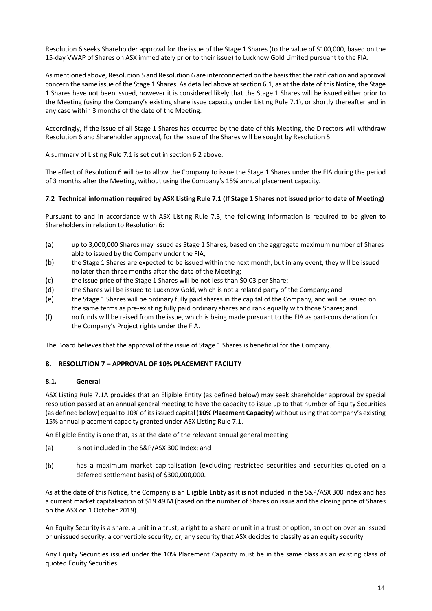Resolution 6 seeks Shareholder approval for the issue of the Stage 1 Shares (to the value of \$100,000, based on the 15-day VWAP of Shares on ASX immediately prior to their issue) to Lucknow Gold Limited pursuant to the FIA.

As mentioned above, Resolution 5 and Resolution 6 are interconnected on the basis that the ratification and approval concern the same issue of the Stage 1 Shares. As detailed above at section 6.1, as at the date of this Notice, the Stage 1 Shares have not been issued, however it is considered likely that the Stage 1 Shares will be issued either prior to the Meeting (using the Company's existing share issue capacity under Listing Rule 7.1), or shortly thereafter and in any case within 3 months of the date of the Meeting.

Accordingly, if the issue of all Stage 1 Shares has occurred by the date of this Meeting, the Directors will withdraw Resolution 6 and Shareholder approval, for the issue of the Shares will be sought by Resolution 5.

A summary of Listing Rule 7.1 is set out in section 6.2 above.

The effect of Resolution 6 will be to allow the Company to issue the Stage 1 Shares under the FIA during the period of 3 months after the Meeting, without using the Company's 15% annual placement capacity.

#### **7.2 Technical information required by ASX Listing Rule 7.1 (If Stage 1 Shares not issued prior to date of Meeting)**

Pursuant to and in accordance with ASX Listing Rule 7.3, the following information is required to be given to Shareholders in relation to Resolution 6**:**

- (a) up to 3,000,000 Shares may issued as Stage 1 Shares, based on the aggregate maximum number of Shares able to issued by the Company under the FIA;
- (b) the Stage 1 Shares are expected to be issued within the next month, but in any event, they will be issued no later than three months after the date of the Meeting;
- (c) the issue price of the Stage 1 Shares will be not less than \$0.03 per Share;
- (d) the Shares will be issued to Lucknow Gold, which is not a related party of the Company; and
- (e) the Stage 1 Shares will be ordinary fully paid shares in the capital of the Company, and will be issued on the same terms as pre-existing fully paid ordinary shares and rank equally with those Shares; and
- (f) no funds will be raised from the issue, which is being made pursuant to the FIA as part-consideration for the Company's Project rights under the FIA.

The Board believes that the approval of the issue of Stage 1 Shares is beneficial for the Company.

# **8. RESOLUTION 7 – APPROVAL OF 10% PLACEMENT FACILITY**

#### **8.1. General**

ASX Listing Rule 7.1A provides that an Eligible Entity (as defined below) may seek shareholder approval by special resolution passed at an annual general meeting to have the capacity to issue up to that number of Equity Securities (as defined below) equal to 10% of its issued capital (**10% Placement Capacity**) without using that company's existing 15% annual placement capacity granted under ASX Listing Rule 7.1.

An Eligible Entity is one that, as at the date of the relevant annual general meeting:

- (a) is not included in the S&P/ASX 300 Index; and
- (b) has a maximum market capitalisation (excluding restricted securities and securities quoted on a deferred settlement basis) of \$300,000,000.

As at the date of this Notice, the Company is an Eligible Entity as it is not included in the S&P/ASX 300 Index and has a current market capitalisation of \$19.49 M (based on the number of Shares on issue and the closing price of Shares on the ASX on 1 October 2019).

An Equity Security is a share, a unit in a trust, a right to a share or unit in a trust or option, an option over an issued or unissued security, a convertible security, or, any security that ASX decides to classify as an equity security

Any Equity Securities issued under the 10% Placement Capacity must be in the same class as an existing class of quoted Equity Securities.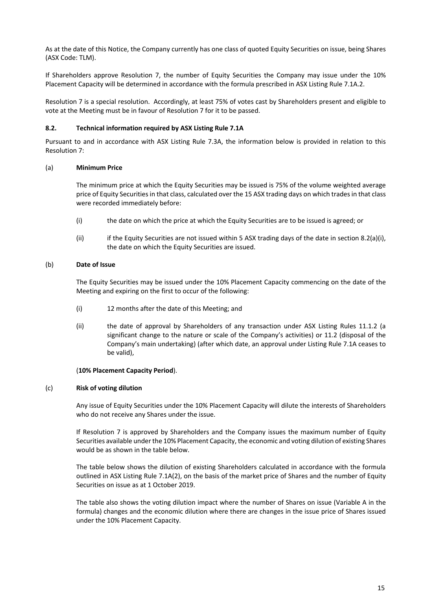As at the date of this Notice, the Company currently has one class of quoted Equity Securities on issue, being Shares (ASX Code: TLM).

If Shareholders approve Resolution 7, the number of Equity Securities the Company may issue under the 10% Placement Capacity will be determined in accordance with the formula prescribed in ASX Listing Rule 7.1A.2.

Resolution 7 is a special resolution. Accordingly, at least 75% of votes cast by Shareholders present and eligible to vote at the Meeting must be in favour of Resolution 7 for it to be passed.

#### **8.2. Technical information required by ASX Listing Rule 7.1A**

Pursuant to and in accordance with ASX Listing Rule 7.3A, the information below is provided in relation to this Resolution 7:

### (a) **Minimum Price**

The minimum price at which the Equity Securities may be issued is 75% of the volume weighted average price of Equity Securities in that class, calculated over the 15 ASX trading days on which trades in that class were recorded immediately before:

- (i) the date on which the price at which the Equity Securities are to be issued is agreed; or
- (ii) if the Equity Securities are not issued within 5 ASX trading days of the date in section 8.2(a)(i), the date on which the Equity Securities are issued.

### (b) **Date of Issue**

The Equity Securities may be issued under the 10% Placement Capacity commencing on the date of the Meeting and expiring on the first to occur of the following:

- (i) 12 months after the date of this Meeting; and
- (ii) the date of approval by Shareholders of any transaction under ASX Listing Rules 11.1.2 (a significant change to the nature or scale of the Company's activities) or 11.2 (disposal of the Company's main undertaking) (after which date, an approval under Listing Rule 7.1A ceases to be valid),

#### (**10% Placement Capacity Period**).

#### (c) **Risk of voting dilution**

Any issue of Equity Securities under the 10% Placement Capacity will dilute the interests of Shareholders who do not receive any Shares under the issue.

If Resolution 7 is approved by Shareholders and the Company issues the maximum number of Equity Securities available under the 10% Placement Capacity, the economic and voting dilution of existing Shares would be as shown in the table below.

The table below shows the dilution of existing Shareholders calculated in accordance with the formula outlined in ASX Listing Rule 7.1A(2), on the basis of the market price of Shares and the number of Equity Securities on issue as at 1 October 2019.

The table also shows the voting dilution impact where the number of Shares on issue (Variable A in the formula) changes and the economic dilution where there are changes in the issue price of Shares issued under the 10% Placement Capacity.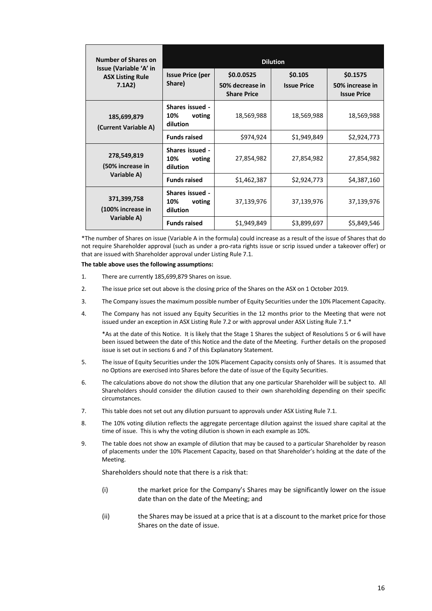| <b>Number of Shares on</b>                        | <b>Dilution</b>                                     |                                       |                    |                                       |  |  |  |  |
|---------------------------------------------------|-----------------------------------------------------|---------------------------------------|--------------------|---------------------------------------|--|--|--|--|
| Issue (Variable 'A' in<br><b>ASX Listing Rule</b> | <b>Issue Price (per</b>                             | \$0.0.0525                            | \$0.105            | \$0.1575                              |  |  |  |  |
| 7.1A2)                                            | Share)                                              | 50% decrease in<br><b>Share Price</b> | <b>Issue Price</b> | 50% increase in<br><b>Issue Price</b> |  |  |  |  |
| 185,699,879<br>(Current Variable A)               | Shares issued -<br>voting<br>10%<br>dilution        | 18,569,988                            | 18,569,988         | 18,569,988                            |  |  |  |  |
|                                                   | <b>Funds raised</b>                                 | \$974,924                             | \$1,949,849        | \$2,924,773                           |  |  |  |  |
| 278,549,819<br>(50% increase in                   | <b>Shares issued -</b><br>10%<br>voting<br>dilution | 27,854,982                            | 27,854,982         | 27,854,982                            |  |  |  |  |
| Variable A)                                       | <b>Funds raised</b>                                 | \$1,462,387                           | \$2,924,773        | \$4,387,160                           |  |  |  |  |
| 371,399,758<br>(100% increase in                  | <b>Shares issued -</b><br>10%<br>voting<br>dilution | 37,139,976                            | 37,139,976         | 37,139,976                            |  |  |  |  |
| Variable A)                                       | <b>Funds raised</b>                                 | \$1,949,849                           | \$3,899,697        | \$5,849,546                           |  |  |  |  |

\*The number of Shares on issue (Variable A in the formula) could increase as a result of the issue of Shares that do not require Shareholder approval (such as under a pro-rata rights issue or scrip issued under a takeover offer) or that are issued with Shareholder approval under Listing Rule 7.1.

**The table above uses the following assumptions:**

- 1. There are currently 185,699,879 Shares on issue.
- 2. The issue price set out above is the closing price of the Shares on the ASX on 1 October 2019.
- 3. The Company issues the maximum possible number of Equity Securities under the 10% Placement Capacity.
- 4. The Company has not issued any Equity Securities in the 12 months prior to the Meeting that were not issued under an exception in ASX Listing Rule 7.2 or with approval under ASX Listing Rule 7.1.\*

\*As at the date of this Notice. It is likely that the Stage 1 Shares the subject of Resolutions 5 or 6 will have been issued between the date of this Notice and the date of the Meeting. Further details on the proposed issue is set out in sections 6 and 7 of this Explanatory Statement.

- 5. The issue of Equity Securities under the 10% Placement Capacity consists only of Shares. It is assumed that no Options are exercised into Shares before the date of issue of the Equity Securities.
- 6. The calculations above do not show the dilution that any one particular Shareholder will be subject to. All Shareholders should consider the dilution caused to their own shareholding depending on their specific circumstances.
- 7. This table does not set out any dilution pursuant to approvals under ASX Listing Rule 7.1.
- 8. The 10% voting dilution reflects the aggregate percentage dilution against the issued share capital at the time of issue. This is why the voting dilution is shown in each example as 10%.
- 9. The table does not show an example of dilution that may be caused to a particular Shareholder by reason of placements under the 10% Placement Capacity, based on that Shareholder's holding at the date of the Meeting.

Shareholders should note that there is a risk that:

- (i) the market price for the Company's Shares may be significantly lower on the issue date than on the date of the Meeting; and
- (ii) the Shares may be issued at a price that is at a discount to the market price for those Shares on the date of issue.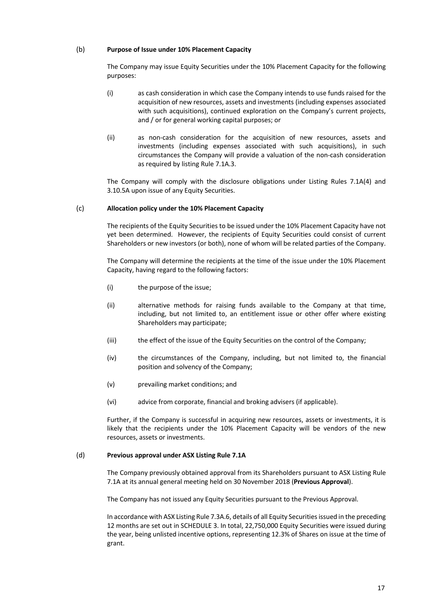### (b) **Purpose of Issue under 10% Placement Capacity**

The Company may issue Equity Securities under the 10% Placement Capacity for the following purposes:

- (i) as cash consideration in which case the Company intends to use funds raised for the acquisition of new resources, assets and investments (including expenses associated with such acquisitions), continued exploration on the Company's current projects, and / or for general working capital purposes; or
- (ii) as non-cash consideration for the acquisition of new resources, assets and investments (including expenses associated with such acquisitions), in such circumstances the Company will provide a valuation of the non-cash consideration as required by listing Rule 7.1A.3.

The Company will comply with the disclosure obligations under Listing Rules 7.1A(4) and 3.10.5A upon issue of any Equity Securities.

#### (c) **Allocation policy under the 10% Placement Capacity**

The recipients of the Equity Securities to be issued under the 10% Placement Capacity have not yet been determined. However, the recipients of Equity Securities could consist of current Shareholders or new investors (or both), none of whom will be related parties of the Company.

The Company will determine the recipients at the time of the issue under the 10% Placement Capacity, having regard to the following factors:

- (i) the purpose of the issue;
- (ii) alternative methods for raising funds available to the Company at that time, including, but not limited to, an entitlement issue or other offer where existing Shareholders may participate;
- (iii) the effect of the issue of the Equity Securities on the control of the Company;
- (iv) the circumstances of the Company, including, but not limited to, the financial position and solvency of the Company;
- (v) prevailing market conditions; and
- (vi) advice from corporate, financial and broking advisers (if applicable).

Further, if the Company is successful in acquiring new resources, assets or investments, it is likely that the recipients under the 10% Placement Capacity will be vendors of the new resources, assets or investments.

#### (d) **Previous approval under ASX Listing Rule 7.1A**

The Company previously obtained approval from its Shareholders pursuant to ASX Listing Rule 7.1A at its annual general meeting held on 30 November 2018 (**Previous Approval**).

The Company has not issued any Equity Securities pursuant to the Previous Approval.

In accordance with ASX Listing Rule 7.3A.6, details of all Equity Securities issued in the preceding 12 months are set out in SCHEDULE 3. In total, 22,750,000 Equity Securities were issued during the year, being unlisted incentive options, representing 12.3% of Shares on issue at the time of grant.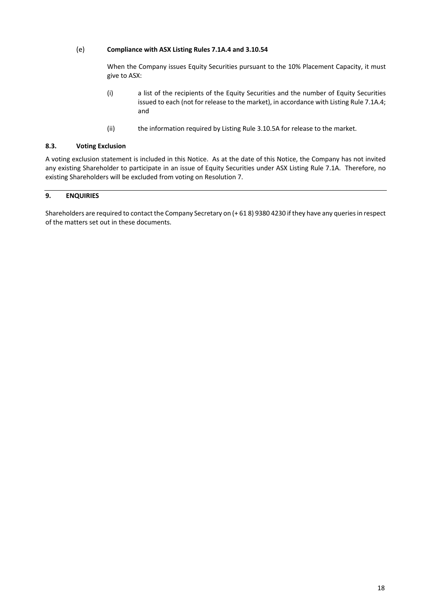# (e) **Compliance with ASX Listing Rules 7.1A.4 and 3.10.54**

When the Company issues Equity Securities pursuant to the 10% Placement Capacity, it must give to ASX:

- (i) a list of the recipients of the Equity Securities and the number of Equity Securities issued to each (not for release to the market), in accordance with Listing Rule 7.1A.4; and
- (ii) the information required by Listing Rule 3.10.5A for release to the market.

#### **8.3. Voting Exclusion**

A voting exclusion statement is included in this Notice. As at the date of this Notice, the Company has not invited any existing Shareholder to participate in an issue of Equity Securities under ASX Listing Rule 7.1A. Therefore, no existing Shareholders will be excluded from voting on Resolution 7.

# **9. ENQUIRIES**

Shareholders are required to contact the Company Secretary on (+ 61 8) 9380 4230 if they have any queries in respect of the matters set out in these documents.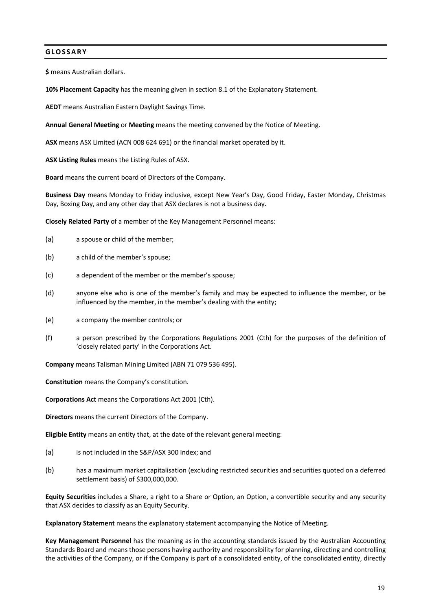# **GLOSSARY**

**\$** means Australian dollars.

**10% Placement Capacity** has the meaning given in section 8.1 of the Explanatory Statement.

**AEDT** means Australian Eastern Daylight Savings Time.

**Annual General Meeting** or **Meeting** means the meeting convened by the Notice of Meeting.

**ASX** means ASX Limited (ACN 008 624 691) or the financial market operated by it.

**ASX Listing Rules** means the Listing Rules of ASX.

**Board** means the current board of Directors of the Company.

**Business Day** means Monday to Friday inclusive, except New Year's Day, Good Friday, Easter Monday, Christmas Day, Boxing Day, and any other day that ASX declares is not a business day.

**Closely Related Party** of a member of the Key Management Personnel means:

- (a) a spouse or child of the member;
- (b) a child of the member's spouse;
- (c) a dependent of the member or the member's spouse;
- (d) anyone else who is one of the member's family and may be expected to influence the member, or be influenced by the member, in the member's dealing with the entity;
- (e) a company the member controls; or
- (f) a person prescribed by the Corporations Regulations 2001 (Cth) for the purposes of the definition of 'closely related party' in the Corporations Act.

**Company** means Talisman Mining Limited (ABN 71 079 536 495).

**Constitution** means the Company's constitution.

**Corporations Act** means the Corporations Act 2001 (Cth).

**Directors** means the current Directors of the Company.

**Eligible Entity** means an entity that, at the date of the relevant general meeting:

- (a) is not included in the S&P/ASX 300 Index; and
- (b) has a maximum market capitalisation (excluding restricted securities and securities quoted on a deferred settlement basis) of \$300,000,000.

**Equity Securities** includes a Share, a right to a Share or Option, an Option, a convertible security and any security that ASX decides to classify as an Equity Security.

**Explanatory Statement** means the explanatory statement accompanying the Notice of Meeting.

**Key Management Personnel** has the meaning as in the accounting standards issued by the Australian Accounting Standards Board and means those persons having authority and responsibility for planning, directing and controlling the activities of the Company, or if the Company is part of a consolidated entity, of the consolidated entity, directly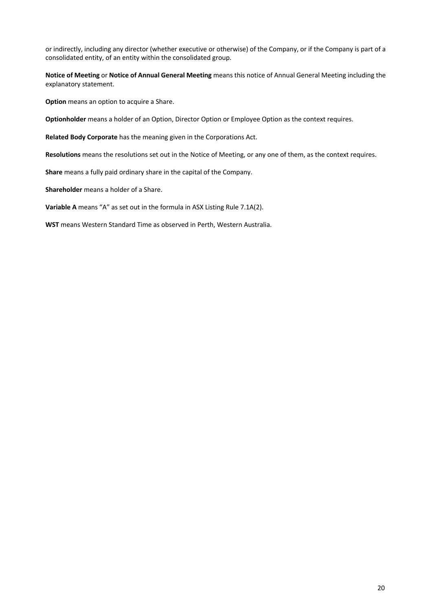or indirectly, including any director (whether executive or otherwise) of the Company, or if the Company is part of a consolidated entity, of an entity within the consolidated group.

**Notice of Meeting** or **Notice of Annual General Meeting** means this notice of Annual General Meeting including the explanatory statement.

**Option** means an option to acquire a Share.

**Optionholder** means a holder of an Option, Director Option or Employee Option as the context requires.

**Related Body Corporate** has the meaning given in the Corporations Act.

**Resolutions** means the resolutions set out in the Notice of Meeting, or any one of them, as the context requires.

**Share** means a fully paid ordinary share in the capital of the Company.

**Shareholder** means a holder of a Share.

**Variable A** means "A" as set out in the formula in ASX Listing Rule 7.1A(2).

**WST** means Western Standard Time as observed in Perth, Western Australia.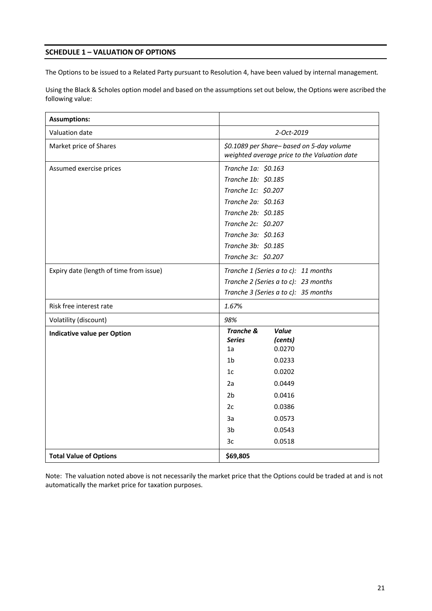# **SCHEDULE 1 – VALUATION OF OPTIONS**

The Options to be issued to a Related Party pursuant to Resolution 4, have been valued by internal management*.* 

Using the Black & Scholes option model and based on the assumptions set out below, the Options were ascribed the following value:

| <b>Assumptions:</b>                     |                                                                                           |  |  |  |  |
|-----------------------------------------|-------------------------------------------------------------------------------------------|--|--|--|--|
| Valuation date                          | 2-Oct-2019                                                                                |  |  |  |  |
| Market price of Shares                  | \$0.1089 per Share- based on 5-day volume<br>weighted average price to the Valuation date |  |  |  |  |
| Assumed exercise prices                 | Tranche 1a: \$0.163                                                                       |  |  |  |  |
|                                         | Tranche 1b: \$0.185                                                                       |  |  |  |  |
|                                         | Tranche 1c: \$0.207                                                                       |  |  |  |  |
|                                         | Tranche 2a: \$0.163                                                                       |  |  |  |  |
|                                         | Tranche 2b: \$0.185                                                                       |  |  |  |  |
|                                         | Tranche 2c: \$0.207                                                                       |  |  |  |  |
|                                         | Tranche 3a: \$0.163                                                                       |  |  |  |  |
|                                         | Tranche 3b: \$0.185                                                                       |  |  |  |  |
|                                         | Tranche 3c: \$0.207                                                                       |  |  |  |  |
| Expiry date (length of time from issue) | Tranche 1 (Series a to c): 11 months                                                      |  |  |  |  |
|                                         | Tranche 2 (Series a to c): 23 months                                                      |  |  |  |  |
|                                         | Tranche 3 (Series a to c): 35 months                                                      |  |  |  |  |
| Risk free interest rate                 | 1.67%                                                                                     |  |  |  |  |
| Volatility (discount)                   | 98%                                                                                       |  |  |  |  |
| <b>Indicative value per Option</b>      | <b>Tranche &amp;</b><br><b>Value</b>                                                      |  |  |  |  |
|                                         | <b>Series</b><br>(cents)<br>0.0270<br>1a                                                  |  |  |  |  |
|                                         | 1 <sub>b</sub><br>0.0233                                                                  |  |  |  |  |
|                                         | 1 <sub>c</sub><br>0.0202                                                                  |  |  |  |  |
|                                         | 2a<br>0.0449                                                                              |  |  |  |  |
|                                         | 2 <sub>b</sub>                                                                            |  |  |  |  |
|                                         | 0.0416                                                                                    |  |  |  |  |
|                                         | 2c<br>0.0386                                                                              |  |  |  |  |
|                                         | 3a<br>0.0573                                                                              |  |  |  |  |
|                                         | 3 <sub>b</sub><br>0.0543                                                                  |  |  |  |  |
|                                         | 3c<br>0.0518                                                                              |  |  |  |  |
| <b>Total Value of Options</b>           | \$69,805                                                                                  |  |  |  |  |

Note: The valuation noted above is not necessarily the market price that the Options could be traded at and is not automatically the market price for taxation purposes.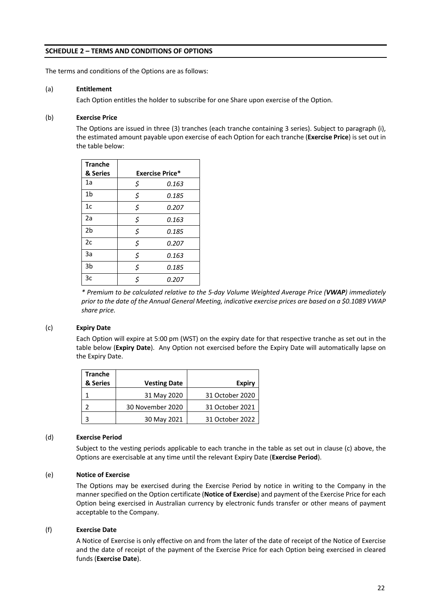## **SCHEDULE 2 – TERMS AND CONDITIONS OF OPTIONS**

The terms and conditions of the Options are as follows:

#### (a) **Entitlement**

Each Option entitles the holder to subscribe for one Share upon exercise of the Option.

## (b) **Exercise Price**

The Options are issued in three (3) tranches (each tranche containing 3 series). Subject to paragraph (i), the estimated amount payable upon exercise of each Option for each tranche (**Exercise Price**) is set out in the table below:

| <b>Tranche</b> |                        |       |  |  |  |  |  |
|----------------|------------------------|-------|--|--|--|--|--|
| & Series       | <b>Exercise Price*</b> |       |  |  |  |  |  |
| 1a             | \$                     | 0.163 |  |  |  |  |  |
| 1 <sub>b</sub> | \$                     | 0.185 |  |  |  |  |  |
| 1c             | \$                     | 0.207 |  |  |  |  |  |
| 2a             | \$                     | 0.163 |  |  |  |  |  |
| 2 <sub>b</sub> | \$                     | 0.185 |  |  |  |  |  |
| 2c             | \$                     | 0.207 |  |  |  |  |  |
| 3a             | \$                     | 0.163 |  |  |  |  |  |
| 3b             | \$                     | 0.185 |  |  |  |  |  |
| 3c             | \$                     | 0.207 |  |  |  |  |  |

*\* Premium to be calculated relative to the 5-day Volume Weighted Average Price (VWAP) immediately prior to the date of the Annual General Meeting, indicative exercise prices are based on a \$0.1089 VWAP share price.*

#### (c) **Expiry Date**

Each Option will expire at 5:00 pm (WST) on the expiry date for that respective tranche as set out in the table below (**Expiry Date**). Any Option not exercised before the Expiry Date will automatically lapse on the Expiry Date.

| <b>Tranche</b> |                     |                 |
|----------------|---------------------|-----------------|
| & Series       | <b>Vesting Date</b> | <b>Expiry</b>   |
|                | 31 May 2020         | 31 October 2020 |
|                | 30 November 2020    | 31 October 2021 |
|                | 30 May 2021         | 31 October 2022 |

#### (d) **Exercise Period**

Subject to the vesting periods applicable to each tranche in the table as set out in clause (c) above, the Options are exercisable at any time until the relevant Expiry Date (**Exercise Period**).

#### (e) **Notice of Exercise**

The Options may be exercised during the Exercise Period by notice in writing to the Company in the manner specified on the Option certificate (**Notice of Exercise**) and payment of the Exercise Price for each Option being exercised in Australian currency by electronic funds transfer or other means of payment acceptable to the Company.

#### (f) **Exercise Date**

A Notice of Exercise is only effective on and from the later of the date of receipt of the Notice of Exercise and the date of receipt of the payment of the Exercise Price for each Option being exercised in cleared funds (**Exercise Date**).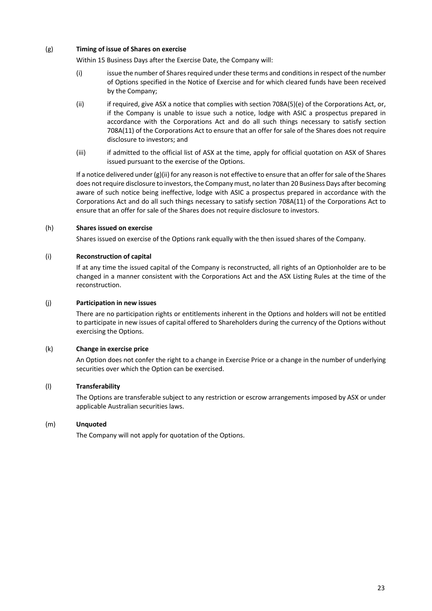## (g) **Timing of issue of Shares on exercise**

Within 15 Business Days after the Exercise Date, the Company will:

- (i) issue the number of Shares required under these terms and conditions in respect of the number of Options specified in the Notice of Exercise and for which cleared funds have been received by the Company;
- (ii) if required, give ASX a notice that complies with section 708A(5)(e) of the Corporations Act, or, if the Company is unable to issue such a notice, lodge with ASIC a prospectus prepared in accordance with the Corporations Act and do all such things necessary to satisfy section 708A(11) of the Corporations Act to ensure that an offer for sale of the Shares does not require disclosure to investors; and
- (iii) if admitted to the official list of ASX at the time, apply for official quotation on ASX of Shares issued pursuant to the exercise of the Options.

If a notice delivered under (g)(ii) for any reason is not effective to ensure that an offer for sale of the Shares does not require disclosure to investors, the Company must, no later than 20 Business Days after becoming aware of such notice being ineffective, lodge with ASIC a prospectus prepared in accordance with the Corporations Act and do all such things necessary to satisfy section 708A(11) of the Corporations Act to ensure that an offer for sale of the Shares does not require disclosure to investors.

### (h) **Shares issued on exercise**

Shares issued on exercise of the Options rank equally with the then issued shares of the Company.

### (i) **Reconstruction of capital**

If at any time the issued capital of the Company is reconstructed, all rights of an Optionholder are to be changed in a manner consistent with the Corporations Act and the ASX Listing Rules at the time of the reconstruction.

#### (j) **Participation in new issues**

There are no participation rights or entitlements inherent in the Options and holders will not be entitled to participate in new issues of capital offered to Shareholders during the currency of the Options without exercising the Options.

### (k) **Change in exercise price**

An Option does not confer the right to a change in Exercise Price or a change in the number of underlying securities over which the Option can be exercised.

### (l) **Transferability**

The Options are transferable subject to any restriction or escrow arrangements imposed by ASX or under applicable Australian securities laws.

### (m) **Unquoted**

The Company will not apply for quotation of the Options.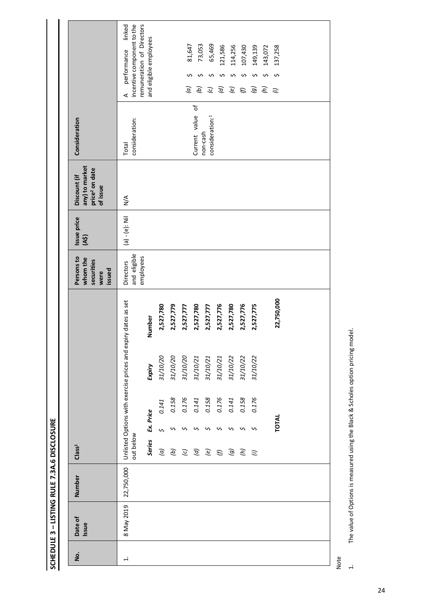|                                                                          | linked                                                                     |                        |               |           |                |                     |                                         |               |                |                |                     |                |            |  |
|--------------------------------------------------------------------------|----------------------------------------------------------------------------|------------------------|---------------|-----------|----------------|---------------------|-----------------------------------------|---------------|----------------|----------------|---------------------|----------------|------------|--|
|                                                                          | incentive component to the<br>remuneration of Directors<br>performance     | and eligible employees |               |           | 81,647         | 73,053              | 65,469                                  | 121,586       | 114,256        | 107,430        | 149,139             | 143,072        | 137,258    |  |
|                                                                          |                                                                            |                        |               |           |                | ᠊᠕                  | ᠊ᠬ                                      | ᠊ᠬ            | ᠊ᠬ             | Ş              | ¢                   | Ş              | S          |  |
|                                                                          | ⋖                                                                          |                        |               |           | $\overline{a}$ | $\overline{\omega}$ | $\overline{c}$                          | $\mathcal{G}$ | $\overline{e}$ | $\mathcal{E}$  | $\overline{\omega}$ | $\mathfrak{S}$ | $\ddot{c}$ |  |
|                                                                          |                                                                            |                        |               |           |                | đ                   |                                         |               |                |                |                     |                |            |  |
| Consideration                                                            | consideration:                                                             |                        |               |           |                | Current value       | consideration: <sup>1</sup><br>non-cash |               |                |                |                     |                |            |  |
|                                                                          | Total                                                                      |                        |               |           |                |                     |                                         |               |                |                |                     |                |            |  |
|                                                                          |                                                                            |                        |               |           |                |                     |                                         |               |                |                |                     |                |            |  |
| any) to market<br>price <sup>2</sup> on date<br>Discount (if<br>of issue | $\frac{4}{2}$                                                              |                        |               |           |                |                     |                                         |               |                |                |                     |                |            |  |
|                                                                          |                                                                            |                        |               |           |                |                     |                                         |               |                |                |                     |                |            |  |
| Issue price                                                              | $(a) - (e)$ : Nil                                                          |                        |               |           |                |                     |                                         |               |                |                |                     |                |            |  |
| (A5)                                                                     |                                                                            |                        |               |           |                |                     |                                         |               |                |                |                     |                |            |  |
| Persons to<br>whom the<br>securities<br>issued<br>were                   | and eligible<br>employees<br><b>Directors</b>                              |                        |               |           |                |                     |                                         |               |                |                |                     |                |            |  |
|                                                                          |                                                                            |                        |               |           |                |                     |                                         |               |                |                |                     |                |            |  |
|                                                                          |                                                                            |                        |               |           |                |                     |                                         |               |                |                |                     |                | 22,750,000 |  |
|                                                                          |                                                                            | Number                 | 2,527,780     | 2,527,779 | 2,527,777      | 2,527,780           | 2,527,777                               | 2,527,776     | 2,527,780      | 2,527,776      | 2,527,775           |                |            |  |
|                                                                          |                                                                            |                        |               |           |                |                     |                                         |               |                |                |                     |                |            |  |
|                                                                          |                                                                            | Expiry                 | 31/10/20      | 31/10/20  | 31/10/20       | 31/10/21            | 31/10/21                                | 31/10/21      | 31/10/22       | 31/10/22       | 31/10/22            |                |            |  |
|                                                                          |                                                                            |                        |               |           |                |                     |                                         |               |                |                |                     |                |            |  |
|                                                                          |                                                                            |                        |               |           |                |                     |                                         |               |                |                |                     |                |            |  |
|                                                                          |                                                                            |                        |               |           |                |                     |                                         |               |                |                |                     |                |            |  |
|                                                                          |                                                                            |                        | 0.141         | 0.158     |                | 0.176<br>0.141      | 0.158                                   | 0.176         | 0.141          | 0.158          | 0.176               |                |            |  |
|                                                                          |                                                                            | Ex. Price              | $\mathbf{v}$  |           |                |                     | ∽                                       |               |                |                |                     |                | TOTAL      |  |
| Class <sup>1</sup>                                                       | Unlisted Options with exercise prices and expiry dates as set<br>out below | <b>Series</b>          | $\widehat{a}$ | Э         | $\overline{c}$ | $\mathcal{G}$       | $\widehat{e}$                           | $\mathcal{E}$ | $\mathcal{G}$  | $\mathfrak{S}$ | $\ddot{c}$          |                |            |  |
|                                                                          |                                                                            |                        |               |           |                |                     |                                         |               |                |                |                     |                |            |  |
| Number                                                                   | 22,750,000                                                                 |                        |               |           |                |                     |                                         |               |                |                |                     |                |            |  |
|                                                                          |                                                                            |                        |               |           |                |                     |                                         |               |                |                |                     |                |            |  |
| Date of<br>Issue                                                         | 8 May 2019                                                                 |                        |               |           |                |                     |                                         |               |                |                |                     |                |            |  |

**SCHEDULE 3 - LISTING RULE 7.3A.6 DISCLOSURE SCHEDULE 3 – LISTING RULE 7.3A.6 DISCLOSURE**

Note

 $\overline{a}$ 

The value of Options is measured using the Black & Scholes option pricing model. 1. The value of Options is measured using the Black & Scholes option pricing model.

24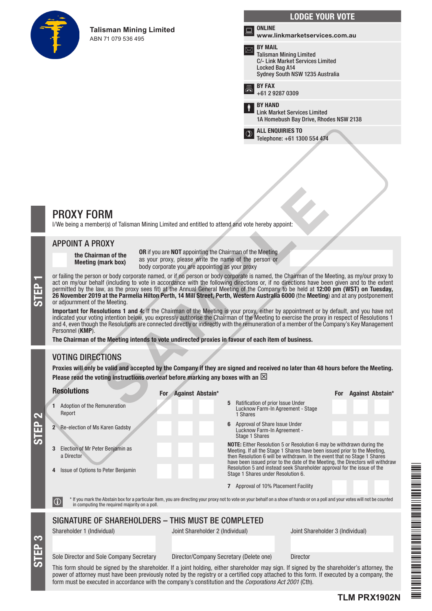

**Talisman Mining Limited**  ABN 71 079 536 495

|     | <b>LODGE YOUR VOTE</b>                                                                                                                           |
|-----|--------------------------------------------------------------------------------------------------------------------------------------------------|
| Ìш. | <b>ONLINE</b><br>www.linkmarketservices.com.au                                                                                                   |
|     | <b>BY MAIL</b><br><b>Talisman Mining Limited</b><br><b>C/- Link Market Services Limited</b><br>Locked Bag A14<br>Sydney South NSW 1235 Australia |
| 昌   | <b>BY FAX</b><br>+61 2 9287 0309                                                                                                                 |
| Ť   | <b>BY HAND</b><br><b>Link Market Services Limited</b><br>1A Homebush Bay Drive, Rhodes NSW 2138                                                  |
|     | <b>ALL ENQUIRIES TO</b><br>Telephone: +61 1300 554 474                                                                                           |

# PROXY FORM

I/We being a member(s) of Talisman Mining Limited and entitled to attend and vote hereby appoint:

# APPOINT A PROXY

the Chairman of the Meeting (mark box)

OR if you are NOT appointing the Chairman of the Meeting as your proxy, please write the name of the person or body corporate you are appointing as your proxy

or failing the person or body corporate named, or if no person or body corporate is named, the Chairman of the Meeting, as my/our proxy to act on my/our behalf (including to vote in accordance with the following directions act on my/our behalf (including to vote in accordance with the following directions or, if no directions have been given and to the extent permitted by the law, as the proxy sees fit) at the Annual General Meeting of the Company to be held at 12:00 pm (WST) on Tuesday, 26 November 2019 at the Parmelia Hilton Perth, 14 Mill Street, Perth, Western Australia 6000 (the Meeting) and at any postponement or adjournment of the Meeting. **RM**<br> **SAMPLE 18** Talisman Mining Limited and entitled to attend and vote hereby appoint:<br> **OXY**<br> **OXY**<br> **ORI** fyou are NOT appointing the Chairman of the Meeting<br>  $\frac{1}{2}$  you from the value of the case write the name o

Important for Resolutions 1 and 4: If the Chairman of the Meeting is your proxy, either by appointment or by default, and you have not indicated your voting intention below, you expressly authorise the Chairman of the Meeting to exercise the proxy in respect of Resolutions 1 and 4, even though the Resolutions are connected directly or indirectly with the remuneration of a member of the Company's Key Management Personnel (KMP).

The Chairman of the Meeting intends to vote undirected proxies in favour of each item of business.

# VOTING DIRECTIONS

STEP 3

STEP 2

Proxies will only be valid and accepted by the Company if they are signed and received no later than 48 hours before the Meeting. Please read the voting instructions overleaf before marking any boxes with an  $\boxtimes$ 

| <b>Resolutions</b>                                          | <b>Against Abstain*</b><br>For.                                                     | <b>Against Abstain*</b><br><b>For</b>                                                                                                                                                                                                                                                                            |
|-------------------------------------------------------------|-------------------------------------------------------------------------------------|------------------------------------------------------------------------------------------------------------------------------------------------------------------------------------------------------------------------------------------------------------------------------------------------------------------|
| Adoption of the Remuneration<br>1.<br>Report                | Ratification of prior Issue Under<br>5<br>1 Shares                                  | Lucknow Farm-In Agreement - Stage                                                                                                                                                                                                                                                                                |
| Re-election of Ms Karen Gadsby<br>$2^{\circ}$               | Approval of Share Issue Under<br>6<br>Lucknow Farm-In Agreement -<br>Stage 1 Shares |                                                                                                                                                                                                                                                                                                                  |
| Election of Mr Peter Benjamin as<br>3<br>a Director         |                                                                                     | NOTE: Either Resolution 5 or Resolution 6 may be withdrawn during the<br>Meeting. If all the Stage 1 Shares have been issued prior to the Meeting,<br>then Resolution 6 will be withdrawn. In the event that no Stage 1 Shares<br>have been issued prior to the date of the Meeting, the Directors will withdraw |
| Issue of Options to Peter Benjamin<br>4                     | Stage 1 Shares under Resolution 6.                                                  | Resolution 5 and instead seek Shareholder approval for the issue of the                                                                                                                                                                                                                                          |
|                                                             | 7 Approval of 10% Placement Facility                                                |                                                                                                                                                                                                                                                                                                                  |
| $\bigcirc$<br>in computing the required majority on a poll. |                                                                                     | * If you mark the Abstain box for a particular Item, you are directing your proxy not to vote on your behalf on a show of hands or on a poll and your votes will not be counted                                                                                                                                  |
|                                                             | SIGNATURE OF SHAREHOLDERS - THIS MUST BE COMPLETED                                  |                                                                                                                                                                                                                                                                                                                  |
| Shareholder 1 (Individual)                                  | Joint Shareholder 2 (Individual)                                                    | Joint Shareholder 3 (Individual)                                                                                                                                                                                                                                                                                 |
|                                                             |                                                                                     |                                                                                                                                                                                                                                                                                                                  |
| Sole Director and Sole Company Secretary                    | Director/Company Secretary (Delete one)                                             | <b>Director</b>                                                                                                                                                                                                                                                                                                  |
|                                                             |                                                                                     | This form should be signed by the shareholder. If a joint holding, either shareholder may sign. If signed by the shareholder's attorney, the<br>in a complete and the contract the first sector of a complete and completed in the form of a complete and consider the                                           |

THE REAL PROPERTY AND A REAL PROPERTY AND A REAL PROPERTY. TLM PRINS PRINS PRINS PRINS PRINS PRINS PRINS PRINS PRINS PRINS PRINS PRINS PRINS PRINS PRINS PRINS PRINS PRIN

power of attorney must have been previously noted by the registry or a certified copy attached to this form. If executed by a company, the form must be executed in accordance with the company's constitution and the *Corporations Act 2001* (Cth).

**TLM PRX1902N**